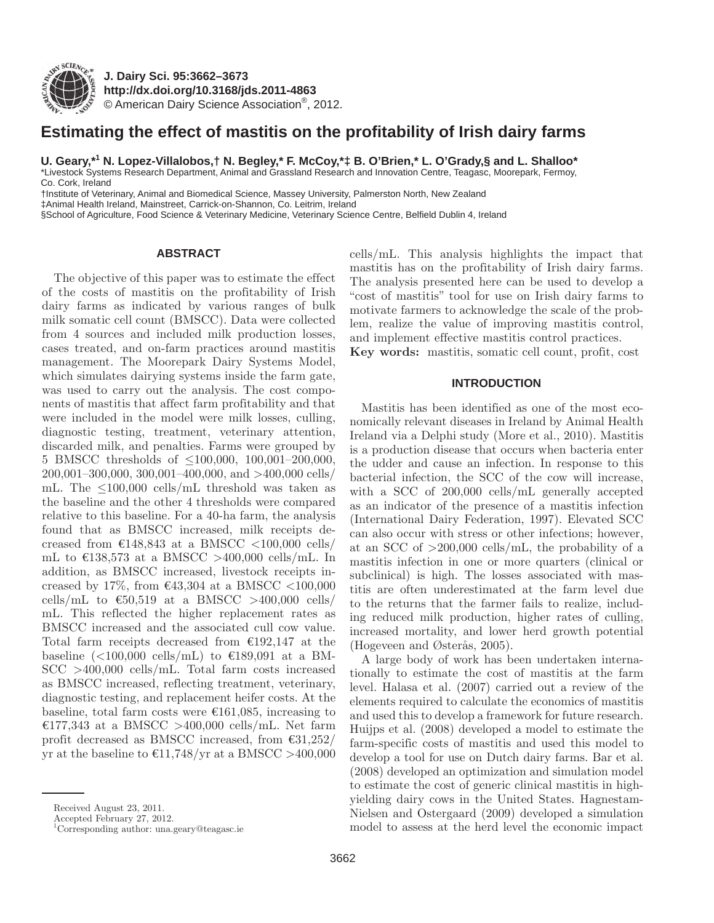

**J. Dairy Sci. 95 :3662–3673 http://dx.doi.org/ 10.3168/jds.2011-4863**  © American Dairy Science Association®, 2012 .

# **Estimating the effect of mastitis on the profitability of Irish dairy farms**

U. Geary,\*<sup>1</sup> N. Lopez-Villalobos,† N. Begley,\* F. McCoy,\*‡ B. O'Brien,\* L. O'Grady,§ and L. Shalloo\*

 \* Livestock Systems Research Department, Animal and Grassland Research and Innovation Centre, Teagasc, Moorepark, Fermoy, Co. Cork, Ireland

 † Institute of Veterinary, Animal and Biomedical Science, Massey University, Palmerston North, New Zealand ‡ Animal Health Ireland, Mainstreet, Carrick-on-Shannon, Co. Leitrim, Ireland

§ School of Agriculture, Food Science & Veterinary Medicine, Veterinary Science Centre, Belfield Dublin 4, Ireland

## **ABSTRACT**

The objective of this paper was to estimate the effect of the costs of mastitis on the profitability of Irish dairy farms as indicated by various ranges of bulk milk somatic cell count (BMSCC). Data were collected from 4 sources and included milk production losses, cases treated, and on-farm practices around mastitis management. The Moorepark Dairy Systems Model, which simulates dairying systems inside the farm gate, was used to carry out the analysis. The cost components of mastitis that affect farm profitability and that were included in the model were milk losses, culling, diagnostic testing, treatment, veterinary attention, discarded milk, and penalties. Farms were grouped by 5 BMSCC thresholds of ≤100,000, 100,001–200,000, 200,001–300,000, 300,001–400,000, and >400,000 cells/ mL. The  $\leq 100,000$  cells/mL threshold was taken as the baseline and the other 4 thresholds were compared relative to this baseline. For a 40-ha farm, the analysis found that as BMSCC increased, milk receipts decreased from  $\text{\textsterling}148,843$  at a BMSCC <100,000 cells/ mL to  $\text{\textsterling}138,573$  at a BMSCC >400,000 cells/mL. In addition, as BMSCC increased, livestock receipts increased by 17%, from  $\text{\textsterling}43,304$  at a BMSCC <100,000 cells/mL to  $\epsilon$ 50,519 at a BMSCC >400,000 cells/ mL. This reflected the higher replacement rates as BMSCC increased and the associated cull cow value. Total farm receipts decreased from  $\epsilon$ 192,147 at the baseline  $(<100,000$  cells/mL) to  $\epsilon$ 189,091 at a BM-SCC >400,000 cells/mL. Total farm costs increased as BMSCC increased, reflecting treatment, veterinary, diagnostic testing, and replacement heifer costs. At the baseline, total farm costs were  $\epsilon$ 161,085, increasing to  $E177,343$  at a BMSCC >400,000 cells/mL. Net farm profit decreased as BMSCC increased, from  $\epsilon$ 31,252/ yr at the baseline to  $\text{\textsterling}11,748/\text{yr}$  at a BMSCC >400,000 cells/mL. This analysis highlights the impact that mastitis has on the profitability of Irish dairy farms. The analysis presented here can be used to develop a "cost of mastitis" tool for use on Irish dairy farms to motivate farmers to acknowledge the scale of the problem, realize the value of improving mastitis control, and implement effective mastitis control practices.

Key words: mastitis, somatic cell count, profit, cost

## **INTRODUCTION**

Mastitis has been identified as one of the most economically relevant diseases in Ireland by Animal Health Ireland via a Delphi study (More et al., 2010). Mastitis is a production disease that occurs when bacteria enter the udder and cause an infection. In response to this bacterial infection, the SCC of the cow will increase, with a SCC of 200,000 cells/mL generally accepted as an indicator of the presence of a mastitis infection (International Dairy Federation, 1997). Elevated SCC can also occur with stress or other infections; however, at an SCC of >200,000 cells/mL, the probability of a mastitis infection in one or more quarters (clinical or subclinical) is high. The losses associated with mastitis are often underestimated at the farm level due to the returns that the farmer fails to realize, including reduced milk production, higher rates of culling, increased mortality, and lower herd growth potential (Hogeveen and Østerås, 2005).

A large body of work has been undertaken internationally to estimate the cost of mastitis at the farm level. Halasa et al. (2007) carried out a review of the elements required to calculate the economics of mastitis and used this to develop a framework for future research. Huijps et al. (2008) developed a model to estimate the farm-specific costs of mastitis and used this model to develop a tool for use on Dutch dairy farms. Bar et al. (2008) developed an optimization and simulation model to estimate the cost of generic clinical mastitis in highyielding dairy cows in the United States. Hagnestam-Nielsen and Ostergaard (2009) developed a simulation model to assess at the herd level the economic impact

Received August 23, 2011.

Accepted February 27, 2012.

 <sup>1</sup> Corresponding author: una.geary@teagasc.ie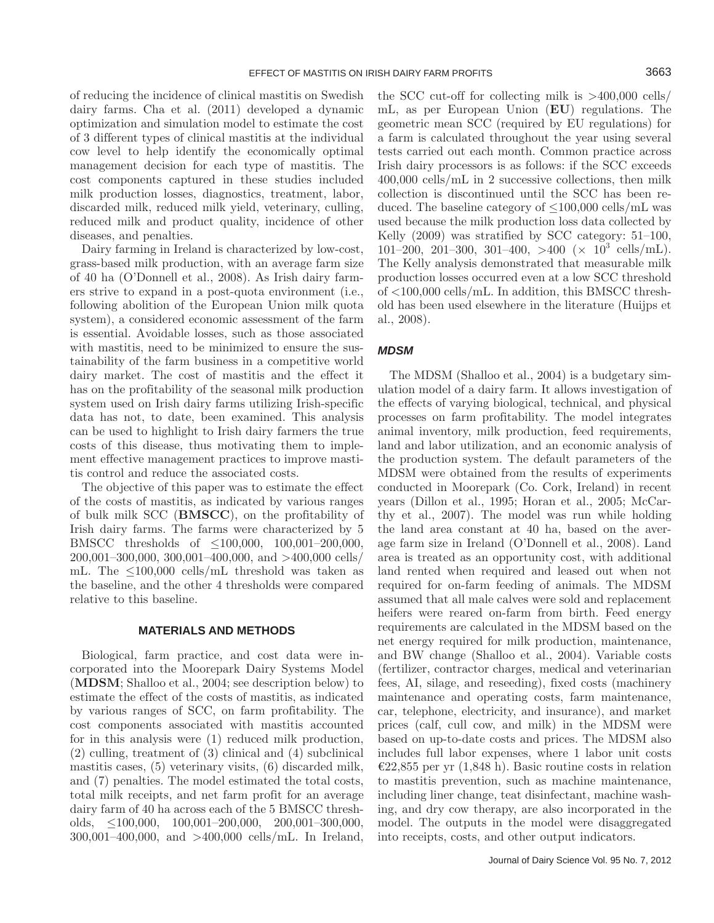of reducing the incidence of clinical mastitis on Swedish dairy farms. Cha et al. (2011) developed a dynamic optimization and simulation model to estimate the cost of 3 different types of clinical mastitis at the individual cow level to help identify the economically optimal management decision for each type of mastitis. The cost components captured in these studies included milk production losses, diagnostics, treatment, labor, discarded milk, reduced milk yield, veterinary, culling, reduced milk and product quality, incidence of other diseases, and penalties.

Dairy farming in Ireland is characterized by low-cost, grass-based milk production, with an average farm size of 40 ha (O'Donnell et al., 2008). As Irish dairy farmers strive to expand in a post-quota environment (i.e., following abolition of the European Union milk quota system), a considered economic assessment of the farm is essential. Avoidable losses, such as those associated with mastitis, need to be minimized to ensure the sustainability of the farm business in a competitive world dairy market. The cost of mastitis and the effect it has on the profitability of the seasonal milk production system used on Irish dairy farms utilizing Irish-specific data has not, to date, been examined. This analysis can be used to highlight to Irish dairy farmers the true costs of this disease, thus motivating them to implement effective management practices to improve mastitis control and reduce the associated costs.

The objective of this paper was to estimate the effect of the costs of mastitis, as indicated by various ranges of bulk milk SCC (**BMSCC**), on the profitability of Irish dairy farms. The farms were characterized by 5 BMSCC thresholds of ≤100,000, 100,001–200,000, 200,001–300,000, 300,001–400,000, and >400,000 cells/ mL. The  $\leq 100,000$  cells/mL threshold was taken as the baseline, and the other 4 thresholds were compared relative to this baseline.

#### **MATERIALS AND METHODS**

Biological, farm practice, and cost data were incorporated into the Moorepark Dairy Systems Model (**MDSM**; Shalloo et al., 2004; see description below) to estimate the effect of the costs of mastitis, as indicated by various ranges of SCC, on farm profitability. The cost components associated with mastitis accounted for in this analysis were (1) reduced milk production, (2) culling, treatment of (3) clinical and (4) subclinical mastitis cases, (5) veterinary visits, (6) discarded milk, and (7) penalties. The model estimated the total costs, total milk receipts, and net farm profit for an average dairy farm of 40 ha across each of the 5 BMSCC thresholds, ≤100,000, 100,001–200,000, 200,001–300,000, 300,001–400,000, and >400,000 cells/mL. In Ireland,

the SCC cut-off for collecting milk is >400,000 cells/ mL, as per European Union (**EU**) regulations. The geometric mean SCC (required by EU regulations) for a farm is calculated throughout the year using several tests carried out each month. Common practice across Irish dairy processors is as follows: if the SCC exceeds 400,000 cells/mL in 2 successive collections, then milk collection is discontinued until the SCC has been reduced. The baseline category of  $\leq 100,000$  cells/mL was used because the milk production loss data collected by Kelly (2009) was stratified by SCC category: 51–100,  $101-200, 201-300, 301-400, >400 \ (\times \ 10^3 \ \text{cells/mL}).$ The Kelly analysis demonstrated that measurable milk production losses occurred even at a low SCC threshold of <100,000 cells/mL. In addition, this BMSCC threshold has been used elsewhere in the literature (Huijps et al., 2008).

## *MDSM*

The MDSM (Shalloo et al., 2004) is a budgetary simulation model of a dairy farm. It allows investigation of the effects of varying biological, technical, and physical processes on farm profitability. The model integrates animal inventory, milk production, feed requirements, land and labor utilization, and an economic analysis of the production system. The default parameters of the MDSM were obtained from the results of experiments conducted in Moorepark (Co. Cork, Ireland) in recent years (Dillon et al., 1995; Horan et al., 2005; McCarthy et al., 2007). The model was run while holding the land area constant at 40 ha, based on the average farm size in Ireland (O'Donnell et al., 2008). Land area is treated as an opportunity cost, with additional land rented when required and leased out when not required for on-farm feeding of animals. The MDSM assumed that all male calves were sold and replacement heifers were reared on-farm from birth. Feed energy requirements are calculated in the MDSM based on the net energy required for milk production, maintenance, and BW change (Shalloo et al., 2004). Variable costs (fertilizer, contractor charges, medical and veterinarian fees, AI, silage, and reseeding), fixed costs (machinery maintenance and operating costs, farm maintenance, car, telephone, electricity, and insurance), and market prices (calf, cull cow, and milk) in the MDSM were based on up-to-date costs and prices. The MDSM also includes full labor expenses, where 1 labor unit costs €22,855 per yr (1,848 h). Basic routine costs in relation to mastitis prevention, such as machine maintenance, including liner change, teat disinfectant, machine washing, and dry cow therapy, are also incorporated in the model. The outputs in the model were disaggregated into receipts, costs, and other output indicators.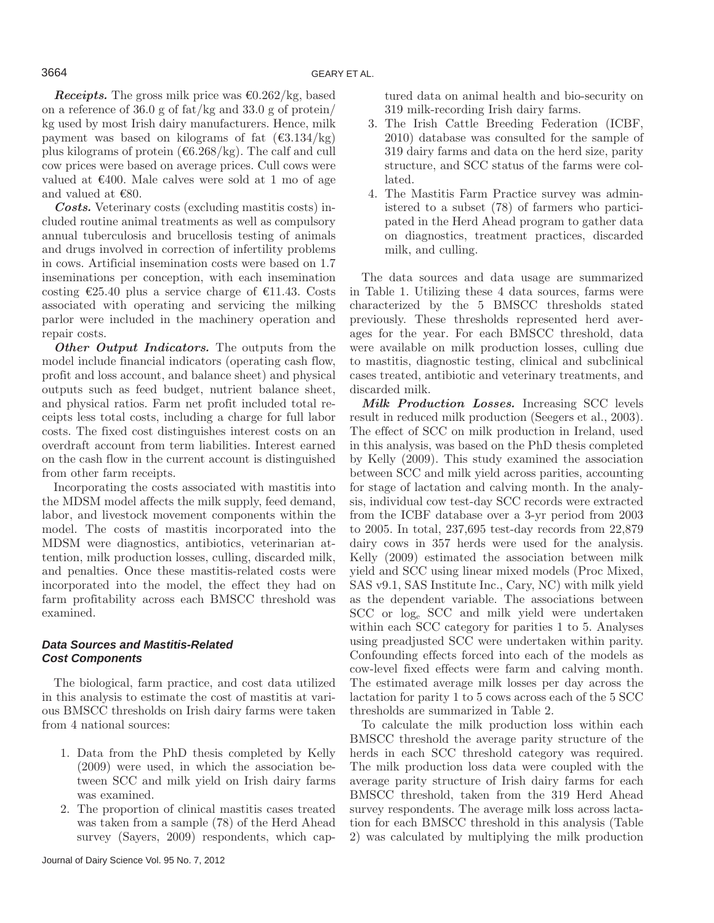*Receipts.* The gross milk price was  $\epsilon$ 0.262/kg, based on a reference of 36.0 g of fat/kg and 33.0 g of protein/ kg used by most Irish dairy manufacturers. Hence, milk payment was based on kilograms of fat  $(\text{\textsterling}3.134/kg)$ plus kilograms of protein ( $6.268/kg$ ). The calf and cull cow prices were based on average prices. Cull cows were valued at  $\epsilon$ 400. Male calves were sold at 1 mo of age and valued at  $€80$ .

*Costs.* Veterinary costs (excluding mastitis costs) included routine animal treatments as well as compulsory annual tuberculosis and brucellosis testing of animals and drugs involved in correction of infertility problems in cows. Artificial insemination costs were based on 1.7 inseminations per conception, with each insemination costing  $\epsilon$ 25.40 plus a service charge of  $\epsilon$ 11.43. Costs associated with operating and servicing the milking parlor were included in the machinery operation and repair costs.

*Other Output Indicators.* The outputs from the model include financial indicators (operating cash flow, profit and loss account, and balance sheet) and physical outputs such as feed budget, nutrient balance sheet, and physical ratios. Farm net profit included total receipts less total costs, including a charge for full labor costs. The fixed cost distinguishes interest costs on an overdraft account from term liabilities. Interest earned on the cash flow in the current account is distinguished from other farm receipts.

Incorporating the costs associated with mastitis into the MDSM model affects the milk supply, feed demand, labor, and livestock movement components within the model. The costs of mastitis incorporated into the MDSM were diagnostics, antibiotics, veterinarian attention, milk production losses, culling, discarded milk, and penalties. Once these mastitis-related costs were incorporated into the model, the effect they had on farm profitability across each BMSCC threshold was examined.

# *Data Sources and Mastitis-Related Cost Components*

The biological, farm practice, and cost data utilized in this analysis to estimate the cost of mastitis at various BMSCC thresholds on Irish dairy farms were taken from 4 national sources:

- 1. Data from the PhD thesis completed by Kelly (2009) were used, in which the association between SCC and milk yield on Irish dairy farms was examined.
- 2. The proportion of clinical mastitis cases treated was taken from a sample (78) of the Herd Ahead survey (Sayers, 2009) respondents, which cap-

tured data on animal health and bio-security on 319 milk-recording Irish dairy farms.

- 3. The Irish Cattle Breeding Federation (ICBF, 2010) database was consulted for the sample of 319 dairy farms and data on the herd size, parity structure, and SCC status of the farms were collated.
- 4. The Mastitis Farm Practice survey was administered to a subset (78) of farmers who participated in the Herd Ahead program to gather data on diagnostics, treatment practices, discarded milk, and culling.

The data sources and data usage are summarized in Table 1. Utilizing these 4 data sources, farms were characterized by the 5 BMSCC thresholds stated previously. These thresholds represented herd averages for the year. For each BMSCC threshold, data were available on milk production losses, culling due to mastitis, diagnostic testing, clinical and subclinical cases treated, antibiotic and veterinary treatments, and discarded milk.

*Milk Production Losses.* Increasing SCC levels result in reduced milk production (Seegers et al., 2003). The effect of SCC on milk production in Ireland, used in this analysis, was based on the PhD thesis completed by Kelly (2009). This study examined the association between SCC and milk yield across parities, accounting for stage of lactation and calving month. In the analysis, individual cow test-day SCC records were extracted from the ICBF database over a 3-yr period from 2003 to 2005. In total, 237,695 test-day records from 22,879 dairy cows in 357 herds were used for the analysis. Kelly (2009) estimated the association between milk yield and SCC using linear mixed models (Proc Mixed, SAS v9.1, SAS Institute Inc., Cary, NC) with milk yield as the dependent variable. The associations between SCC or loge SCC and milk yield were undertaken within each SCC category for parities 1 to 5. Analyses using preadjusted SCC were undertaken within parity. Confounding effects forced into each of the models as cow-level fixed effects were farm and calving month. The estimated average milk losses per day across the lactation for parity 1 to 5 cows across each of the 5 SCC thresholds are summarized in Table 2.

To calculate the milk production loss within each BMSCC threshold the average parity structure of the herds in each SCC threshold category was required. The milk production loss data were coupled with the average parity structure of Irish dairy farms for each BMSCC threshold, taken from the 319 Herd Ahead survey respondents. The average milk loss across lactation for each BMSCC threshold in this analysis (Table 2) was calculated by multiplying the milk production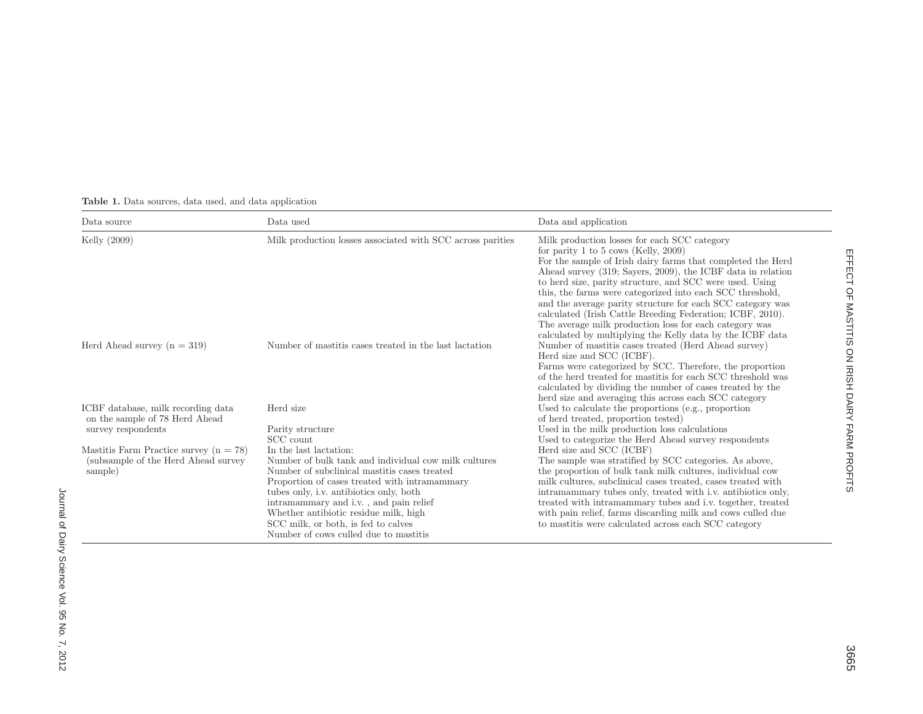| Data source                                                                                 | Data used                                                                                                                                                                                                                                                                                                                                                                                     | Data and application                                                                                                                                                                                                                                                                                                                                                                                                                                                                                                                                                                           |
|---------------------------------------------------------------------------------------------|-----------------------------------------------------------------------------------------------------------------------------------------------------------------------------------------------------------------------------------------------------------------------------------------------------------------------------------------------------------------------------------------------|------------------------------------------------------------------------------------------------------------------------------------------------------------------------------------------------------------------------------------------------------------------------------------------------------------------------------------------------------------------------------------------------------------------------------------------------------------------------------------------------------------------------------------------------------------------------------------------------|
| Kelly $(2009)$                                                                              | Milk production losses associated with SCC across parities                                                                                                                                                                                                                                                                                                                                    | Milk production losses for each SCC category<br>for parity 1 to 5 cows (Kelly, 2009)<br>For the sample of Irish dairy farms that completed the Herd<br>Ahead survey (319; Sayers, 2009), the ICBF data in relation<br>to herd size, parity structure, and SCC were used. Using<br>this, the farms were categorized into each SCC threshold,<br>and the average parity structure for each SCC category was<br>calculated (Irish Cattle Breeding Federation; ICBF, 2010).<br>The average milk production loss for each category was<br>calculated by multiplying the Kelly data by the ICBF data |
| Herd Ahead survey $(n = 319)$                                                               | Number of mastitis cases treated in the last lactation                                                                                                                                                                                                                                                                                                                                        | Number of mastitis cases treated (Herd Ahead survey)<br>Herd size and SCC (ICBF).<br>Farms were categorized by SCC. Therefore, the proportion<br>of the herd treated for mastitis for each SCC threshold was<br>calculated by dividing the number of cases treated by the<br>herd size and averaging this across each SCC category                                                                                                                                                                                                                                                             |
| ICBF database, milk recording data<br>on the sample of 78 Herd Ahead<br>survey respondents  | Herd size<br>Parity structure<br>SCC count                                                                                                                                                                                                                                                                                                                                                    | Used to calculate the proportions (e.g., proportion<br>of herd treated, proportion tested)<br>Used in the milk production loss calculations<br>Used to categorize the Herd Ahead survey respondents                                                                                                                                                                                                                                                                                                                                                                                            |
| Mastitis Farm Practice survey $(n = 78)$<br>(subsample of the Herd Ahead survey)<br>sample) | In the last lactation:<br>Number of bulk tank and individual cow milk cultures<br>Number of subclinical mastitis cases treated<br>Proportion of cases treated with intramammary<br>tubes only, i.v. antibiotics only, both<br>intramammary and i.v., and pain relief<br>Whether antibiotic residue milk, high<br>SCC milk, or both, is fed to calves<br>Number of cows culled due to mastitis | Herd size and SCC (ICBF)<br>The sample was stratified by SCC categories. As above,<br>the proportion of bulk tank milk cultures, individual cow<br>milk cultures, subclinical cases treated, cases treated with<br>intramammary tubes only, treated with i.v. antibiotics only,<br>treated with intramammary tubes and i.v. together, treated<br>with pain relief, farms discarding milk and cows culled due<br>to mastitis were calculated across each SCC category                                                                                                                           |

## **Table 1.** Data sources, data used, and data application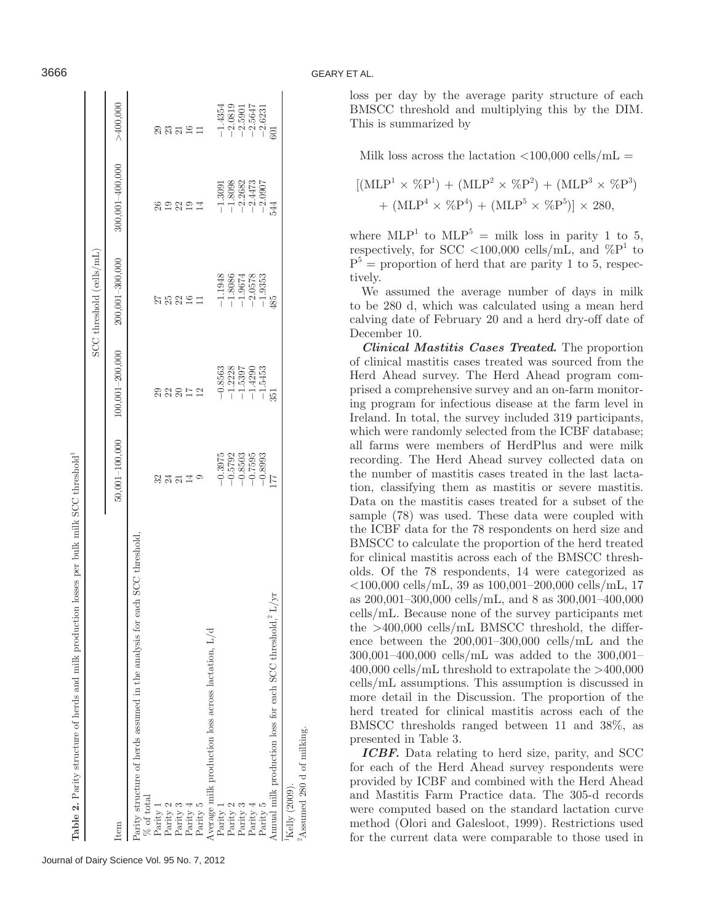| losses per bulk milk SCC threshold <sup>1</sup><br>Table 2. Parity structure of herds and milk production |                        |                     |                          |                     |                        |
|-----------------------------------------------------------------------------------------------------------|------------------------|---------------------|--------------------------|---------------------|------------------------|
|                                                                                                           |                        |                     | SCC threshold (cells/mL) |                     |                        |
| Item                                                                                                      | $50,001 - 100,000$     | $100,001 - 200,000$ | 200,001-300,000          | $300,001 - 400,000$ | >400,000               |
| Parity structure of herds assumed in the analysis for each SCC threshold,                                 |                        |                     |                          |                     |                        |
| % of total                                                                                                |                        |                     |                          |                     |                        |
| Parity                                                                                                    |                        | 29                  |                          |                     |                        |
| Parity 2                                                                                                  | 2311<br>2312           |                     |                          | $26$<br>$19$        |                        |
| Parity 3                                                                                                  |                        |                     |                          |                     |                        |
| Parity $4$                                                                                                |                        | 22812               | <b>222512</b>            | 221                 | និនិដងដ                |
| Parity 5                                                                                                  |                        |                     |                          |                     |                        |
| Average milk production loss across lactation, L/d                                                        |                        |                     |                          |                     |                        |
| Parity 1                                                                                                  | $-0.3975$              | $-0.8563$           | $-1.1948$                | $-1.3091$           | $-1.4354$              |
| Parity $2$                                                                                                | $-0.5792$              | $-1.2228$           | $-1.8086$                | $-1.8098$           | $-2.0819$              |
| Parity 3                                                                                                  |                        | $-1.5397$           | $-1.9674$                | $-2.2682$           | $-2.5901$<br>$-2.5647$ |
| Parity $\prime$                                                                                           | $-0.8503$<br>$-0.7595$ | $-1.4290$           | $-2.0578$                | $-2.4473$           |                        |
| Parity 5                                                                                                  | $-0.8993$              | $-1.5453$           | $-1.9353$                | $-2.0907$           | $-2.6231$              |
| Annual milk production loss for each SCC threshold,<br>2 $\rm L/yr$                                       |                        | 351                 | 485                      | 544                 |                        |
| $Kelly$ (2009).                                                                                           |                        |                     |                          |                     |                        |
| <sup>2</sup> Assumed 280 d of milking.                                                                    |                        |                     |                          |                     |                        |

Journal of Dairy Science Vol. 95 No. 7, 2012

## 3666 GEARY ET AL.

loss per day by the average parity structure of each BMSCC threshold and multiplying this by the DIM. This is summarized by

Milk loss across the lactation  $\langle 100,000 \text{ cells/mL} =$ 

$$
[(MLP1 × %P1) + (MLP2 × %P2) + (MLP3 × %P3)+ (MLP4 × %P4) + (MLP5 × %P5)] × 280,
$$

where  $MLP<sup>1</sup>$  to  $MLP<sup>5</sup>$  = milk loss in parity 1 to 5, respectively, for SCC <100,000 cells/mL, and  $\%P^1$  to  $P<sup>5</sup>$  = proportion of herd that are parity 1 to 5, respectively.

We assumed the average number of days in milk to be 280 d, which was calculated using a mean herd calving date of February 20 and a herd dry-off date of December 10.

*Clinical Mastitis Cases Treated.* The proportion of clinical mastitis cases treated was sourced from the Herd Ahead survey. The Herd Ahead program comprised a comprehensive survey and an on-farm monitoring program for infectious disease at the farm level in Ireland. In total, the survey included 319 participants, which were randomly selected from the ICBF database; all farms were members of HerdPlus and were milk recording. The Herd Ahead survey collected data on the number of mastitis cases treated in the last lactation, classifying them as mastitis or severe mastitis. Data on the mastitis cases treated for a subset of the sample (78) was used. These data were coupled with the ICBF data for the 78 respondents on herd size and BMSCC to calculate the proportion of the herd treated for clinical mastitis across each of the BMSCC thresholds. Of the 78 respondents, 14 were categorized as <100,000 cells/mL, 39 as 100,001–200,000 cells/mL, 17 as 200,001–300,000 cells/mL, and 8 as 300,001–400,000 cells/mL. Because none of the survey participants met the >400,000 cells/mL BMSCC threshold, the difference between the 200,001–300,000 cells/mL and the 300,001–400,000 cells/mL was added to the 300,001– 400,000 cells/mL threshold to extrapolate the >400,000 cells/mL assumptions. This assumption is discussed in more detail in the Discussion. The proportion of the herd treated for clinical mastitis across each of the BMSCC thresholds ranged between 11 and 38%, as presented in Table 3.

*ICBF.* Data relating to herd size, parity, and SCC for each of the Herd Ahead survey respondents were provided by ICBF and combined with the Herd Ahead and Mastitis Farm Practice data. The 305-d records were computed based on the standard lactation curve method (Olori and Galesloot, 1999). Restrictions used for the current data were comparable to those used in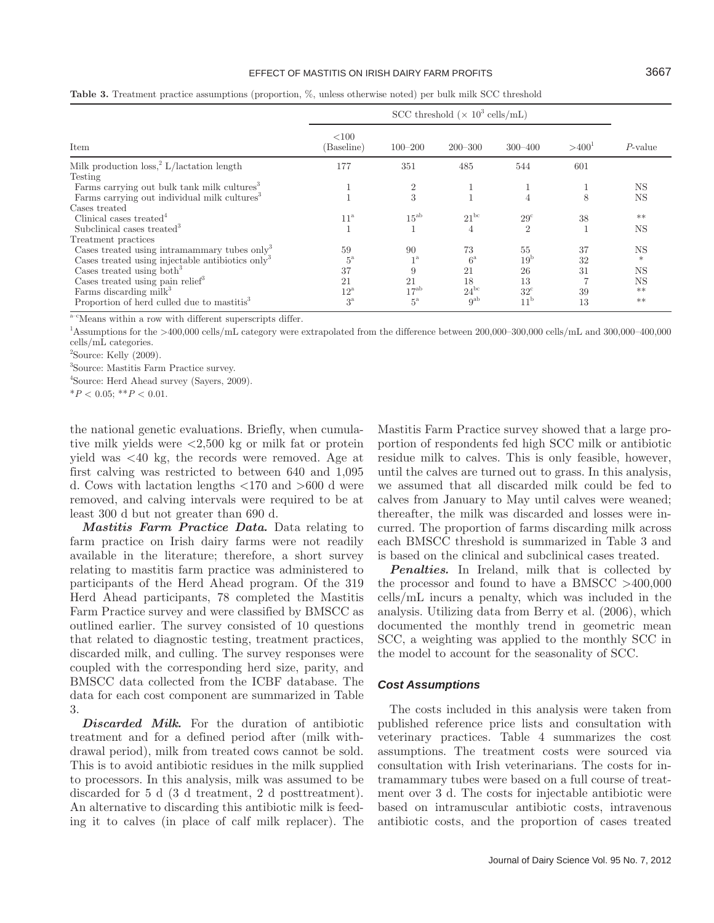#### EFFECT OF MASTITIS ON IRISH DAIRY FARM PROFITS 3667

| Item                                                         | <100<br>(Baseline) | $100 - 200$    | $200 - 300$     | $300 - 400$     | $>400^1$ | $P$ -value |
|--------------------------------------------------------------|--------------------|----------------|-----------------|-----------------|----------|------------|
| Milk production $loss2 L/lactation length$                   | 177                | 351            | 485             | 544             | 601      |            |
| Testing                                                      |                    |                |                 |                 |          |            |
| Farms carrying out bulk tank milk cultures <sup>3</sup>      |                    | $\overline{2}$ |                 |                 |          | NS         |
| Farms carrying out individual milk cultures <sup>3</sup>     |                    | 3              |                 | 4               | 8        | NS         |
| Cases treated                                                |                    |                |                 |                 |          |            |
| Clinical cases treated <sup>4</sup>                          | $11^{\rm a}$       | $15^{ab}$      | $21^{bc}$       | $29^{\circ}$    | 38       | $**$       |
| Subclinical cases treated <sup>3</sup>                       |                    |                | 4               | $\overline{2}$  |          | NS         |
| Treatment practices                                          |                    |                |                 |                 |          |            |
| Cases treated using intramammary tubes only <sup>3</sup>     | 59                 | 90             | 73              | 55              | 37       | NS         |
| Cases treated using injectable antibiotics only <sup>3</sup> | $5^{\rm a}$        | $1^{\rm a}$    | $6^{\rm a}$     | 19 <sup>b</sup> | 32       | $\ast$     |
| Cases treated using both <sup>3</sup>                        | 37                 |                | 21              | 26              | 31       | NS         |
| Cases treated using pain relief <sup>3</sup>                 | 21                 | 21             | 18              | 13              |          | NS         |
| Farms discarding milk <sup>3</sup>                           | $12^{\mathrm{a}}$  | $17^{ab}$      | $24^{bc}$       | $32^{\circ}$    | 39       | $**$       |
| Proportion of herd culled due to mastitis <sup>3</sup>       | $3^{\rm a}$        | $5^{\rm a}$    | 9 <sup>ab</sup> | 11 <sup>b</sup> | 13       | $**$       |

**Table 3.** Treatment practice assumptions (proportion, %, unless otherwise noted) per bulk milk SCC threshold

 $\mathrm{a\text{-}c}$  Means within a row with different superscripts differ.

1 Assumptions for the >400,000 cells/mL category were extrapolated from the difference between 200,000–300,000 cells/mL and 300,000–400,000 cells/mL categories.

 $2$ Source: Kelly  $(2009)$ .

3 Source: Mastitis Farm Practice survey.

4 Source: Herd Ahead survey (Sayers, 2009).

 $*P < 0.05$ ;  $*P < 0.01$ .

the national genetic evaluations. Briefly, when cumulative milk yields were <2,500 kg or milk fat or protein yield was <40 kg, the records were removed. Age at first calving was restricted to between 640 and 1,095 d. Cows with lactation lengths <170 and >600 d were removed, and calving intervals were required to be at least 300 d but not greater than 690 d.

*Mastitis Farm Practice Data.* Data relating to farm practice on Irish dairy farms were not readily available in the literature; therefore, a short survey relating to mastitis farm practice was administered to participants of the Herd Ahead program. Of the 319 Herd Ahead participants, 78 completed the Mastitis Farm Practice survey and were classified by BMSCC as outlined earlier. The survey consisted of 10 questions that related to diagnostic testing, treatment practices, discarded milk, and culling. The survey responses were coupled with the corresponding herd size, parity, and BMSCC data collected from the ICBF database. The data for each cost component are summarized in Table 3.

*Discarded Milk.* For the duration of antibiotic treatment and for a defined period after (milk withdrawal period), milk from treated cows cannot be sold. This is to avoid antibiotic residues in the milk supplied to processors. In this analysis, milk was assumed to be discarded for 5 d (3 d treatment, 2 d posttreatment). An alternative to discarding this antibiotic milk is feeding it to calves (in place of calf milk replacer). The Mastitis Farm Practice survey showed that a large proportion of respondents fed high SCC milk or antibiotic residue milk to calves. This is only feasible, however, until the calves are turned out to grass. In this analysis, we assumed that all discarded milk could be fed to calves from January to May until calves were weaned; thereafter, the milk was discarded and losses were incurred. The proportion of farms discarding milk across each BMSCC threshold is summarized in Table 3 and is based on the clinical and subclinical cases treated.

*Penalties.* In Ireland, milk that is collected by the processor and found to have a BMSCC >400,000 cells/mL incurs a penalty, which was included in the analysis. Utilizing data from Berry et al. (2006), which documented the monthly trend in geometric mean SCC, a weighting was applied to the monthly SCC in the model to account for the seasonality of SCC.

#### *Cost Assumptions*

The costs included in this analysis were taken from published reference price lists and consultation with veterinary practices. Table 4 summarizes the cost assumptions. The treatment costs were sourced via consultation with Irish veterinarians. The costs for intramammary tubes were based on a full course of treatment over 3 d. The costs for injectable antibiotic were based on intramuscular antibiotic costs, intravenous antibiotic costs, and the proportion of cases treated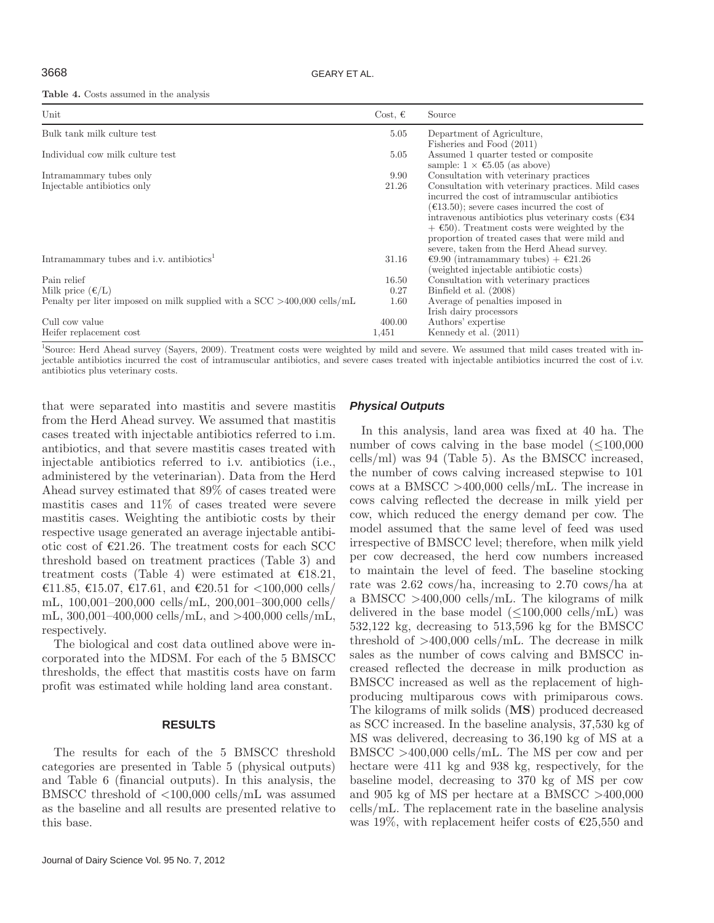**Table 4.** Costs assumed in the analysis

| Unit                                                                       | Cost, $\epsilon$ | Source                                                                                          |
|----------------------------------------------------------------------------|------------------|-------------------------------------------------------------------------------------------------|
| Bulk tank milk culture test                                                | 5.05             | Department of Agriculture,                                                                      |
|                                                                            |                  | Fisheries and Food (2011)                                                                       |
| Individual cow milk culture test                                           | 5.05             | Assumed 1 quarter tested or composite<br>sample: $1 \times \text{\textsterling}5.05$ (as above) |
| Intramammary tubes only                                                    | 9.90             | Consultation with veterinary practices                                                          |
| Injectable antibiotics only                                                | 21.26            | Consultation with veterinary practices. Mild cases                                              |
|                                                                            |                  | incurred the cost of intramuscular antibiotics                                                  |
|                                                                            |                  | $(\text{\textsterling}13.50);$ severe cases incurred the cost of                                |
|                                                                            |                  | intravenous antibiotics plus veterinary costs ( $\epsilon$ 34                                   |
|                                                                            |                  | $+$ €50). Treatment costs were weighted by the                                                  |
|                                                                            |                  | proportion of treated cases that were mild and                                                  |
|                                                                            |                  | severe, taken from the Herd Ahead survey.                                                       |
| Intramammary tubes and i.v. antibiotics <sup>1</sup>                       | 31.16            | €9.90 (intramammary tubes) + €21.26                                                             |
| Pain relief                                                                | 16.50            | (weighted injectable antibiotic costs)<br>Consultation with veterinary practices                |
| Milk price $(\epsilon/L)$                                                  | 0.27             | Binfield et al. (2008)                                                                          |
| Penalty per liter imposed on milk supplied with a $SCC > 400,000$ cells/mL | 1.60             | Average of penalties imposed in                                                                 |
|                                                                            |                  | Irish dairy processors                                                                          |
| Cull cow value                                                             | 400.00           | Authors' expertise                                                                              |
| Heifer replacement cost                                                    | 1,451            | Kennedy et al. $(2011)$                                                                         |

<sup>1</sup>Source: Herd Ahead survey (Sayers, 2009). Treatment costs were weighted by mild and severe. We assumed that mild cases treated with injectable antibiotics incurred the cost of intramuscular antibiotics, and severe cases treated with injectable antibiotics incurred the cost of i.v. antibiotics plus veterinary costs.

that were separated into mastitis and severe mastitis from the Herd Ahead survey. We assumed that mastitis cases treated with injectable antibiotics referred to i.m. antibiotics, and that severe mastitis cases treated with injectable antibiotics referred to i.v. antibiotics (i.e., administered by the veterinarian). Data from the Herd Ahead survey estimated that 89% of cases treated were mastitis cases and 11% of cases treated were severe mastitis cases. Weighting the antibiotic costs by their respective usage generated an average injectable antibiotic cost of  $\epsilon$ 21.26. The treatment costs for each SCC threshold based on treatment practices (Table 3) and treatment costs (Table 4) were estimated at  $\epsilon$ 18.21, €11.85, €15.07, €17.61, and €20.51 for <100,000 cells/ mL, 100,001–200,000 cells/mL, 200,001–300,000 cells/ mL,  $300,001-400,000$  cells/mL, and  $>400,000$  cells/mL, respectively.

The biological and cost data outlined above were incorporated into the MDSM. For each of the 5 BMSCC thresholds, the effect that mastitis costs have on farm profit was estimated while holding land area constant.

## **RESULTS**

The results for each of the 5 BMSCC threshold categories are presented in Table 5 (physical outputs) and Table 6 (financial outputs). In this analysis, the BMSCC threshold of <100,000 cells/mL was assumed as the baseline and all results are presented relative to this base.

## *Physical Outputs*

In this analysis, land area was fixed at 40 ha. The number of cows calving in the base model (≤100,000 cells/ml) was 94 (Table 5). As the BMSCC increased, the number of cows calving increased stepwise to 101 cows at a BMSCC >400,000 cells/mL. The increase in cows calving reflected the decrease in milk yield per cow, which reduced the energy demand per cow. The model assumed that the same level of feed was used irrespective of BMSCC level; therefore, when milk yield per cow decreased, the herd cow numbers increased to maintain the level of feed. The baseline stocking rate was 2.62 cows/ha, increasing to 2.70 cows/ha at a BMSCC >400,000 cells/mL. The kilograms of milk delivered in the base model  $(\leq 100,000 \text{ cells/mL})$  was 532,122 kg, decreasing to 513,596 kg for the BMSCC threshold of  $>400,000$  cells/mL. The decrease in milk sales as the number of cows calving and BMSCC increased reflected the decrease in milk production as BMSCC increased as well as the replacement of highproducing multiparous cows with primiparous cows. The kilograms of milk solids (**MS**) produced decreased as SCC increased. In the baseline analysis, 37,530 kg of MS was delivered, decreasing to 36,190 kg of MS at a BMSCC >400,000 cells/mL. The MS per cow and per hectare were 411 kg and 938 kg, respectively, for the baseline model, decreasing to 370 kg of MS per cow and 905 kg of MS per hectare at a BMSCC >400,000 cells/mL. The replacement rate in the baseline analysis was 19%, with replacement heifer costs of  $\epsilon$ 25,550 and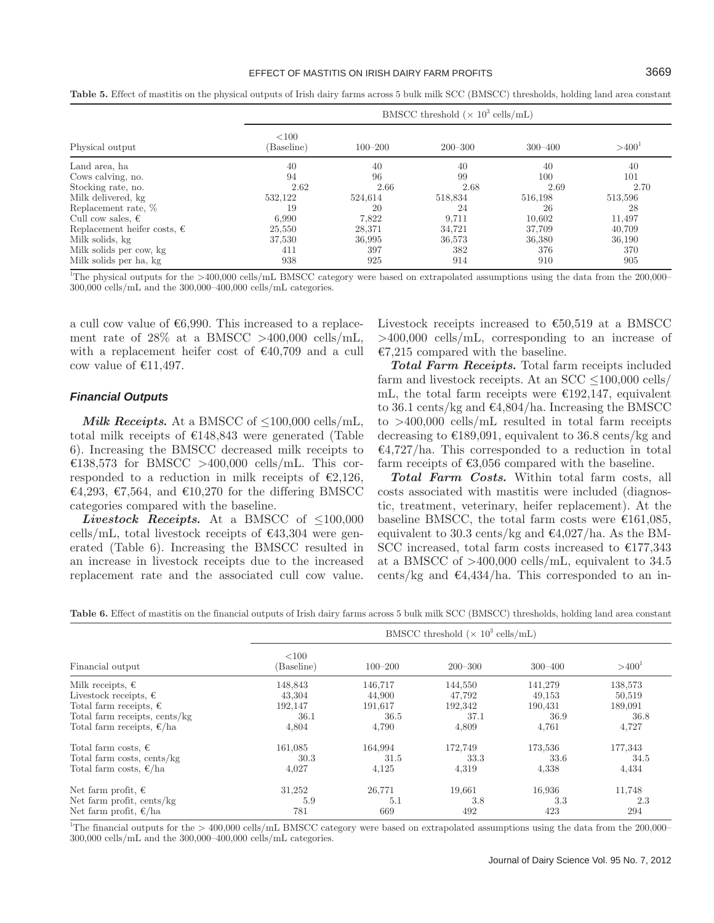#### EFFECT OF MASTITIS ON IRISH DAIRY FARM PROFITS **3669**

| Physical output                      |                    | BMSCC threshold ( $\times$ 10 <sup>3</sup> cells/mL) |             |             |          |  |  |  |
|--------------------------------------|--------------------|------------------------------------------------------|-------------|-------------|----------|--|--|--|
|                                      | < 100<br>Baseline) | $100 - 200$                                          | $200 - 300$ | $300 - 400$ | $>400^1$ |  |  |  |
| Land area, ha                        | 40                 | 40                                                   | 40          | 40          | 40       |  |  |  |
| Cows calving, no.                    | 94                 | 96                                                   | 99          | 100         | 101      |  |  |  |
| Stocking rate, no.                   | 2.62               | 2.66                                                 | 2.68        | 2.69        | 2.70     |  |  |  |
| Milk delivered, kg                   | 532,122            | 524,614                                              | 518,834     | 516,198     | 513,596  |  |  |  |
| Replacement rate, %                  | 19                 | 20                                                   | 24          | 26          | 28       |  |  |  |
| Cull cow sales, $\epsilon$           | 6.990              | 7.822                                                | 9,711       | 10.602      | 11,497   |  |  |  |
| Replacement heifer costs, $\epsilon$ | 25,550             | 28,371                                               | 34,721      | 37,709      | 40,709   |  |  |  |
| Milk solids, kg                      | 37,530             | 36,995                                               | 36,573      | 36,380      | 36,190   |  |  |  |
| Milk solids per cow, kg              | 411                | 397                                                  | 382         | 376         | 370      |  |  |  |
| Milk solids per ha, kg               | 938                | 925                                                  | 914         | 910         | 905      |  |  |  |

**Table 5.** Effect of mastitis on the physical outputs of Irish dairy farms across 5 bulk milk SCC (BMSCC) thresholds, holding land area constant

<sup>1</sup>The physical outputs for the >400,000 cells/mL BMSCC category were based on extrapolated assumptions using the data from the 200,000– 300,000 cells/mL and the 300,000–400,000 cells/mL categories.

a cull cow value of  $€6,990$ . This increased to a replacement rate of  $28\%$  at a BMSCC >400,000 cells/mL, with a replacement heifer cost of  $\epsilon$ 40,709 and a cull cow value of  $£11,497$ .

## *Financial Outputs*

*Milk Receipts.* At a BMSCC of  $\leq 100,000$  cells/mL, total milk receipts of  $\epsilon$ 148,843 were generated (Table 6). Increasing the BMSCC decreased milk receipts to €138,573 for BMSCC >400,000 cells/mL. This corresponded to a reduction in milk receipts of  $\epsilon$ 2,126, €4,293, €7,564, and €10,270 for the differing BMSCC categories compared with the baseline.

*Livestock Receipts.* At a BMSCC of  $\leq 100,000$ cells/mL, total livestock receipts of  $\epsilon$ 43,304 were generated (Table 6). Increasing the BMSCC resulted in an increase in livestock receipts due to the increased replacement rate and the associated cull cow value. Livestock receipts increased to  $€50,519$  at a BMSCC >400,000 cells/mL, corresponding to an increase of  $E7,215$  compared with the baseline.

*Total Farm Receipts.* Total farm receipts included farm and livestock receipts. At an SCC <100,000 cells/ mL, the total farm receipts were  $\epsilon$ 192,147, equivalent to 36.1 cents/kg and  $\epsilon$ 4,804/ha. Increasing the BMSCC to >400,000 cells/mL resulted in total farm receipts decreasing to  $\epsilon$ 189,091, equivalent to 36.8 cents/kg and  $\epsilon$ 4,727/ha. This corresponded to a reduction in total farm receipts of  $\epsilon$ 3,056 compared with the baseline.

*Total Farm Costs.* Within total farm costs, all costs associated with mastitis were included (diagnostic, treatment, veterinary, heifer replacement). At the baseline BMSCC, the total farm costs were  $\epsilon$ 161,085, equivalent to 30.3 cents/kg and  $\epsilon$ 4,027/ha. As the BM-SCC increased, total farm costs increased to  $\epsilon$ 177,343 at a BMSCC of >400,000 cells/mL, equivalent to 34.5 cents/kg and  $\epsilon$ 4,434/ha. This corresponded to an in-

**Table 6.** Effect of mastitis on the financial outputs of Irish dairy farms across 5 bulk milk SCC (BMSCC) thresholds, holding land area constant

| Financial output                    | BMSCC threshold ( $\times$ 10 <sup>3</sup> cells/mL) |             |             |             |          |  |  |
|-------------------------------------|------------------------------------------------------|-------------|-------------|-------------|----------|--|--|
|                                     | $<$ 100<br>(Baseline)                                | $100 - 200$ | $200 - 300$ | $300 - 400$ | $>400^1$ |  |  |
| Milk receipts, $\epsilon$           | 148,843                                              | 146,717     | 144,550     | 141,279     | 138,573  |  |  |
| Livestock receipts, $\epsilon$      | 43,304                                               | 44,900      | 47,792      | 49,153      | 50,519   |  |  |
| Total farm receipts, $\epsilon$     | 192,147                                              | 191,617     | 192,342     | 190,431     | 189,091  |  |  |
| Total farm receipts, cents/kg       | 36.1                                                 | 36.5        | 37.1        | 36.9        | 36.8     |  |  |
| Total farm receipts, $\epsilon$ /ha | 4,804                                                | 4,790       | 4,809       | 4,761       | 4,727    |  |  |
| Total farm costs, $\epsilon$        | 161,085                                              | 164,994     | 172,749     | 173,536     | 177,343  |  |  |
| Total farm costs, cents/kg          | 30.3                                                 | 31.5        | 33.3        | 33.6        | 34.5     |  |  |
| Total farm costs, $\epsilon$ /ha    | 4,027                                                | 4,125       | 4,319       | 4,338       | 4,434    |  |  |
| Net farm profit, $\epsilon$         | 31,252                                               | 26,771      | 19,661      | 16,936      | 11,748   |  |  |
| Net farm profit, cents/kg           | 5.9                                                  | 5.1         | 3.8         | 3.3         | 2.3      |  |  |
| Net farm profit, $\epsilon$ /ha     | 781                                                  | 669         | 492         | 423         | 294      |  |  |

<sup>1</sup>The financial outputs for the  $>400,000$  cells/mL BMSCC category were based on extrapolated assumptions using the data from the 200,000– 300,000 cells/mL and the 300,000–400,000 cells/mL categories.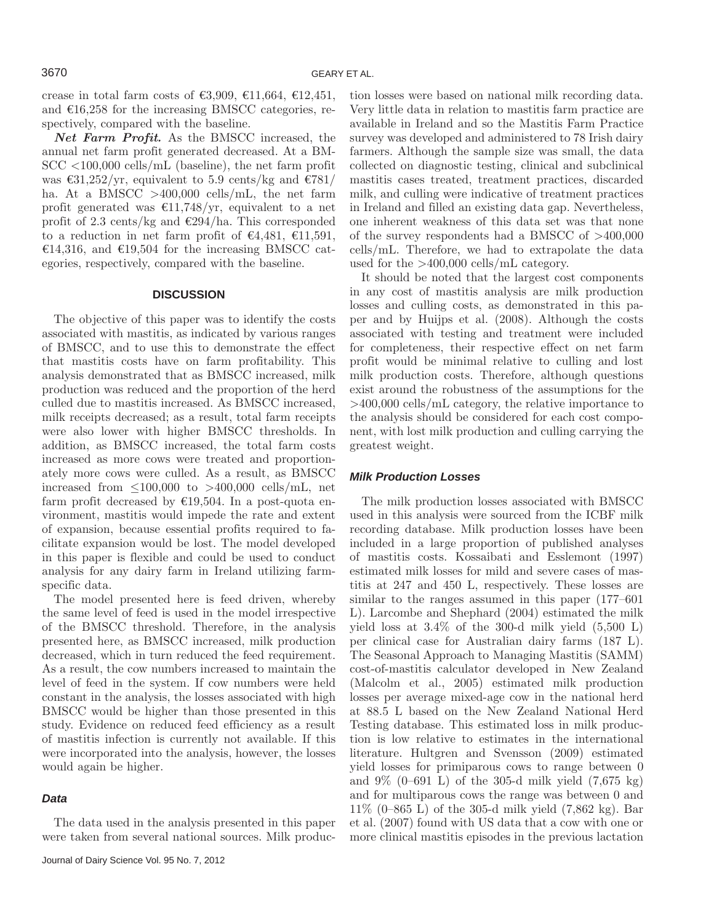crease in total farm costs of  $\epsilon$ 3,909,  $\epsilon$ 11,664,  $\epsilon$ 12,451, and  $\epsilon$ 16,258 for the increasing BMSCC categories, respectively, compared with the baseline.

*Net Farm Profit.* As the BMSCC increased, the annual net farm profit generated decreased. At a BM-SCC <100,000 cells/mL (baseline), the net farm profit was  $\epsilon$ 31,252/yr, equivalent to 5.9 cents/kg and  $\epsilon$ 781/ ha. At a BMSCC  $>400,000$  cells/mL, the net farm profit generated was  $\epsilon$ 11,748/yr, equivalent to a net profit of 2.3 cents/kg and  $\epsilon$ 294/ha. This corresponded to a reduction in net farm profit of  $\epsilon$ 4,481,  $\epsilon$ 11,591, €14,316, and €19,504 for the increasing BMSCC categories, respectively, compared with the baseline.

## **DISCUSSION**

The objective of this paper was to identify the costs associated with mastitis, as indicated by various ranges of BMSCC, and to use this to demonstrate the effect that mastitis costs have on farm profitability. This analysis demonstrated that as BMSCC increased, milk production was reduced and the proportion of the herd culled due to mastitis increased. As BMSCC increased, milk receipts decreased; as a result, total farm receipts were also lower with higher BMSCC thresholds. In addition, as BMSCC increased, the total farm costs increased as more cows were treated and proportionately more cows were culled. As a result, as BMSCC increased from  $\leq 100,000$  to  $>400,000$  cells/mL, net farm profit decreased by  $\epsilon$ 19,504. In a post-quota environment, mastitis would impede the rate and extent of expansion, because essential profits required to facilitate expansion would be lost. The model developed in this paper is flexible and could be used to conduct analysis for any dairy farm in Ireland utilizing farmspecific data.

The model presented here is feed driven, whereby the same level of feed is used in the model irrespective of the BMSCC threshold. Therefore, in the analysis presented here, as BMSCC increased, milk production decreased, which in turn reduced the feed requirement. As a result, the cow numbers increased to maintain the level of feed in the system. If cow numbers were held constant in the analysis, the losses associated with high BMSCC would be higher than those presented in this study. Evidence on reduced feed efficiency as a result of mastitis infection is currently not available. If this were incorporated into the analysis, however, the losses would again be higher.

#### *Data*

The data used in the analysis presented in this paper were taken from several national sources. Milk production losses were based on national milk recording data. Very little data in relation to mastitis farm practice are available in Ireland and so the Mastitis Farm Practice survey was developed and administered to 78 Irish dairy farmers. Although the sample size was small, the data collected on diagnostic testing, clinical and subclinical mastitis cases treated, treatment practices, discarded milk, and culling were indicative of treatment practices in Ireland and filled an existing data gap. Nevertheless, one inherent weakness of this data set was that none of the survey respondents had a BMSCC of >400,000 cells/mL. Therefore, we had to extrapolate the data used for the >400,000 cells/mL category.

It should be noted that the largest cost components in any cost of mastitis analysis are milk production losses and culling costs, as demonstrated in this paper and by Huijps et al. (2008). Although the costs associated with testing and treatment were included for completeness, their respective effect on net farm profit would be minimal relative to culling and lost milk production costs. Therefore, although questions exist around the robustness of the assumptions for the >400,000 cells/mL category, the relative importance to the analysis should be considered for each cost component, with lost milk production and culling carrying the greatest weight.

#### *Milk Production Losses*

The milk production losses associated with BMSCC used in this analysis were sourced from the ICBF milk recording database. Milk production losses have been included in a large proportion of published analyses of mastitis costs. Kossaibati and Esslemont (1997) estimated milk losses for mild and severe cases of mastitis at 247 and 450 L, respectively. These losses are similar to the ranges assumed in this paper (177–601 L). Larcombe and Shephard (2004) estimated the milk yield loss at  $3.4\%$  of the 300-d milk yield  $(5,500 \text{ L})$ per clinical case for Australian dairy farms (187 L). The Seasonal Approach to Managing Mastitis (SAMM) cost-of-mastitis calculator developed in New Zealand (Malcolm et al., 2005) estimated milk production losses per average mixed-age cow in the national herd at 88.5 L based on the New Zealand National Herd Testing database. This estimated loss in milk production is low relative to estimates in the international literature. Hultgren and Svensson (2009) estimated yield losses for primiparous cows to range between 0 and 9% (0–691 L) of the 305-d milk yield (7,675 kg) and for multiparous cows the range was between 0 and 11% (0–865 L) of the 305-d milk yield (7,862 kg). Bar et al. (2007) found with US data that a cow with one or more clinical mastitis episodes in the previous lactation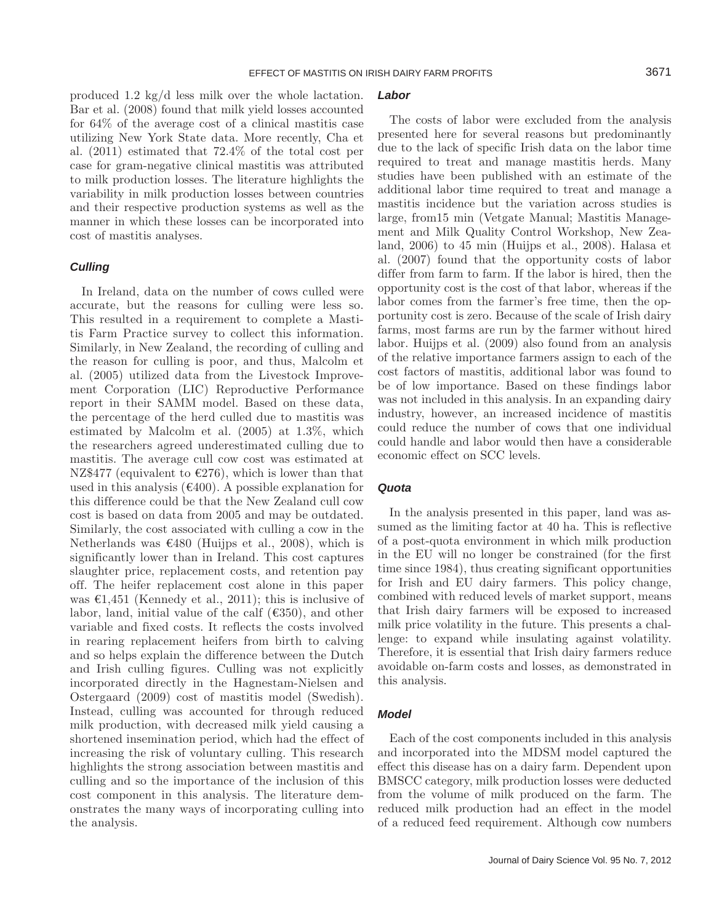produced 1.2 kg/d less milk over the whole lactation. Bar et al. (2008) found that milk yield losses accounted for 64% of the average cost of a clinical mastitis case utilizing New York State data. More recently, Cha et al. (2011) estimated that 72.4% of the total cost per case for gram-negative clinical mastitis was attributed to milk production losses. The literature highlights the variability in milk production losses between countries and their respective production systems as well as the manner in which these losses can be incorporated into cost of mastitis analyses.

#### *Culling*

In Ireland, data on the number of cows culled were accurate, but the reasons for culling were less so. This resulted in a requirement to complete a Mastitis Farm Practice survey to collect this information. Similarly, in New Zealand, the recording of culling and the reason for culling is poor, and thus, Malcolm et al. (2005) utilized data from the Livestock Improvement Corporation (LIC) Reproductive Performance report in their SAMM model. Based on these data, the percentage of the herd culled due to mastitis was estimated by Malcolm et al. (2005) at 1.3%, which the researchers agreed underestimated culling due to mastitis. The average cull cow cost was estimated at NZ\$477 (equivalent to  $\epsilon$ 276), which is lower than that used in this analysis ( $\epsilon$ 400). A possible explanation for this difference could be that the New Zealand cull cow cost is based on data from 2005 and may be outdated. Similarly, the cost associated with culling a cow in the Netherlands was  $\epsilon$ 480 (Huijps et al., 2008), which is significantly lower than in Ireland. This cost captures slaughter price, replacement costs, and retention pay off. The heifer replacement cost alone in this paper was  $\epsilon 1,451$  (Kennedy et al., 2011); this is inclusive of labor, land, initial value of the calf  $(6350)$ , and other variable and fixed costs. It reflects the costs involved in rearing replacement heifers from birth to calving and so helps explain the difference between the Dutch and Irish culling figures. Culling was not explicitly incorporated directly in the Hagnestam-Nielsen and Ostergaard (2009) cost of mastitis model (Swedish). Instead, culling was accounted for through reduced milk production, with decreased milk yield causing a shortened insemination period, which had the effect of increasing the risk of voluntary culling. This research highlights the strong association between mastitis and culling and so the importance of the inclusion of this cost component in this analysis. The literature demonstrates the many ways of incorporating culling into the analysis.

## *Labor*

The costs of labor were excluded from the analysis presented here for several reasons but predominantly due to the lack of specific Irish data on the labor time required to treat and manage mastitis herds. Many studies have been published with an estimate of the additional labor time required to treat and manage a mastitis incidence but the variation across studies is large, from15 min (Vetgate Manual; Mastitis Management and Milk Quality Control Workshop, New Zealand, 2006) to 45 min (Huijps et al., 2008). Halasa et al. (2007) found that the opportunity costs of labor differ from farm to farm. If the labor is hired, then the opportunity cost is the cost of that labor, whereas if the labor comes from the farmer's free time, then the opportunity cost is zero. Because of the scale of Irish dairy farms, most farms are run by the farmer without hired labor. Huijps et al. (2009) also found from an analysis of the relative importance farmers assign to each of the cost factors of mastitis, additional labor was found to be of low importance. Based on these findings labor was not included in this analysis. In an expanding dairy industry, however, an increased incidence of mastitis could reduce the number of cows that one individual could handle and labor would then have a considerable economic effect on SCC levels.

## *Quota*

In the analysis presented in this paper, land was assumed as the limiting factor at 40 ha. This is reflective of a post-quota environment in which milk production in the EU will no longer be constrained (for the first time since 1984), thus creating significant opportunities for Irish and EU dairy farmers. This policy change, combined with reduced levels of market support, means that Irish dairy farmers will be exposed to increased milk price volatility in the future. This presents a challenge: to expand while insulating against volatility. Therefore, it is essential that Irish dairy farmers reduce avoidable on-farm costs and losses, as demonstrated in this analysis.

## *Model*

Each of the cost components included in this analysis and incorporated into the MDSM model captured the effect this disease has on a dairy farm. Dependent upon BMSCC category, milk production losses were deducted from the volume of milk produced on the farm. The reduced milk production had an effect in the model of a reduced feed requirement. Although cow numbers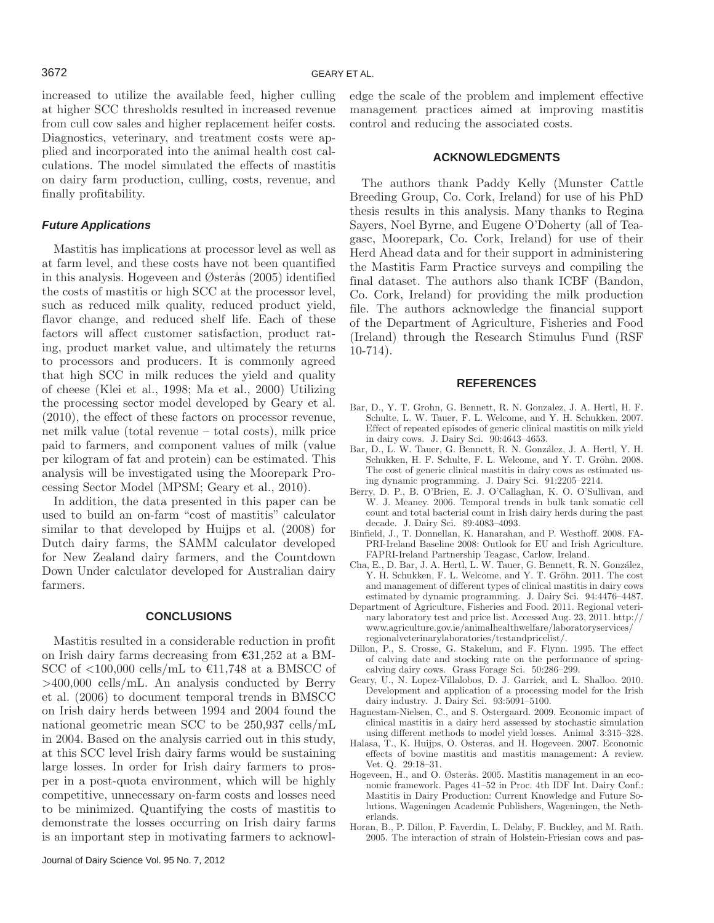increased to utilize the available feed, higher culling at higher SCC thresholds resulted in increased revenue from cull cow sales and higher replacement heifer costs. Diagnostics, veterinary, and treatment costs were applied and incorporated into the animal health cost calculations. The model simulated the effects of mastitis on dairy farm production, culling, costs, revenue, and finally profitability.

## *Future Applications*

Mastitis has implications at processor level as well as at farm level, and these costs have not been quantified in this analysis. Hogeveen and Østerås (2005) identified the costs of mastitis or high SCC at the processor level, such as reduced milk quality, reduced product yield, flavor change, and reduced shelf life. Each of these factors will affect customer satisfaction, product rating, product market value, and ultimately the returns to processors and producers. It is commonly agreed that high SCC in milk reduces the yield and quality of cheese (Klei et al., 1998; Ma et al., 2000) Utilizing the processing sector model developed by Geary et al. (2010), the effect of these factors on processor revenue, net milk value (total revenue – total costs), milk price paid to farmers, and component values of milk (value per kilogram of fat and protein) can be estimated. This analysis will be investigated using the Moorepark Processing Sector Model (MPSM; Geary et al., 2010).

In addition, the data presented in this paper can be used to build an on-farm "cost of mastitis" calculator similar to that developed by Huijps et al. (2008) for Dutch dairy farms, the SAMM calculator developed for New Zealand dairy farmers, and the Countdown Down Under calculator developed for Australian dairy farmers.

## **CONCLUSIONS**

Mastitis resulted in a considerable reduction in profit on Irish dairy farms decreasing from  $\text{\textsterling}31,252$  at a BM-SCC of  $\langle 100,000 \text{ cells/mL}$  to  $\epsilon$ 11,748 at a BMSCC of >400,000 cells/mL. An analysis conducted by Berry et al. (2006) to document temporal trends in BMSCC on Irish dairy herds between 1994 and 2004 found the national geometric mean SCC to be 250,937 cells/mL in 2004. Based on the analysis carried out in this study, at this SCC level Irish dairy farms would be sustaining large losses. In order for Irish dairy farmers to prosper in a post-quota environment, which will be highly competitive, unnecessary on-farm costs and losses need to be minimized. Quantifying the costs of mastitis to demonstrate the losses occurring on Irish dairy farms is an important step in motivating farmers to acknowledge the scale of the problem and implement effective management practices aimed at improving mastitis control and reducing the associated costs.

#### **ACKNOWLEDGMENTS**

The authors thank Paddy Kelly (Munster Cattle Breeding Group, Co. Cork, Ireland) for use of his PhD thesis results in this analysis. Many thanks to Regina Sayers, Noel Byrne, and Eugene O'Doherty (all of Teagasc, Moorepark, Co. Cork, Ireland) for use of their Herd Ahead data and for their support in administering the Mastitis Farm Practice surveys and compiling the final dataset. The authors also thank ICBF (Bandon, Co. Cork, Ireland) for providing the milk production file. The authors acknowledge the financial support of the Department of Agriculture, Fisheries and Food (Ireland) through the Research Stimulus Fund (RSF 10-714).

#### **REFERENCES**

- Bar, D., Y. T. Grohn, G. Bennett, R. N. Gonzalez, J. A. Hertl, H. F. Schulte, L. W. Tauer, F. L. Welcome, and Y. H. Schukken. 2007. Effect of repeated episodes of generic clinical mastitis on milk yield in dairy cows. J. Dairy Sci. 90:4643–4653.
- Bar, D., L. W. Tauer, G. Bennett, R. N. González, J. A. Hertl, Y. H. Schukken, H. F. Schulte, F. L. Welcome, and Y. T. Gröhn. 2008. The cost of generic clinical mastitis in dairy cows as estimated using dynamic programming. J. Dairy Sci. 91:2205–2214.
- Berry, D. P., B. O'Brien, E. J. O'Callaghan, K. O. O'Sullivan, and W. J. Meaney. 2006. Temporal trends in bulk tank somatic cell count and total bacterial count in Irish dairy herds during the past decade. J. Dairy Sci. 89:4083–4093.
- Binfield, J., T. Donnellan, K. Hanarahan, and P. Westhoff. 2008. FA-PRI-Ireland Baseline 2008: Outlook for EU and Irish Agriculture. FAPRI-Ireland Partnership Teagasc, Carlow, Ireland.
- Cha, E., D. Bar, J. A. Hertl, L. W. Tauer, G. Bennett, R. N. González, Y. H. Schukken, F. L. Welcome, and Y. T. Gröhn. 2011. The cost and management of different types of clinical mastitis in dairy cows estimated by dynamic programming. J. Dairy Sci. 94:4476–4487.
- Department of Agriculture, Fisheries and Food. 2011. Regional veterinary laboratory test and price list. Accessed Aug. 23, 2011. http:// www.agriculture.gov.ie/animalhealthwelfare/laboratoryservices/ regionalveterinarylaboratories/testandpricelist/.
- Dillon, P., S. Crosse, G. Stakelum, and F. Flynn. 1995. The effect of calving date and stocking rate on the performance of springcalving dairy cows. Grass Forage Sci. 50:286–299.
- Geary, U., N. Lopez-Villalobos, D. J. Garrick, and L. Shalloo. 2010. Development and application of a processing model for the Irish dairy industry. J. Dairy Sci. 93:5091–5100.
- Hagnestam-Nielsen, C., and S. Ostergaard. 2009. Economic impact of clinical mastitis in a dairy herd assessed by stochastic simulation using different methods to model yield losses. Animal 3:315–328.
- Halasa, T., K. Huijps, O. Osteras, and H. Hogeveen. 2007. Economic effects of bovine mastitis and mastitis management: A review. Vet. Q. 29:18–31.
- Hogeveen, H., and O. Østerås. 2005. Mastitis management in an economic framework. Pages 41–52 in Proc. 4th IDF Int. Dairy Conf.: Mastitis in Dairy Production: Current Knowledge and Future Solutions. Wageningen Academic Publishers, Wageningen, the Netherlands.
- Horan, B., P. Dillon, P. Faverdin, L. Delaby, F. Buckley, and M. Rath. 2005. The interaction of strain of Holstein-Friesian cows and pas-